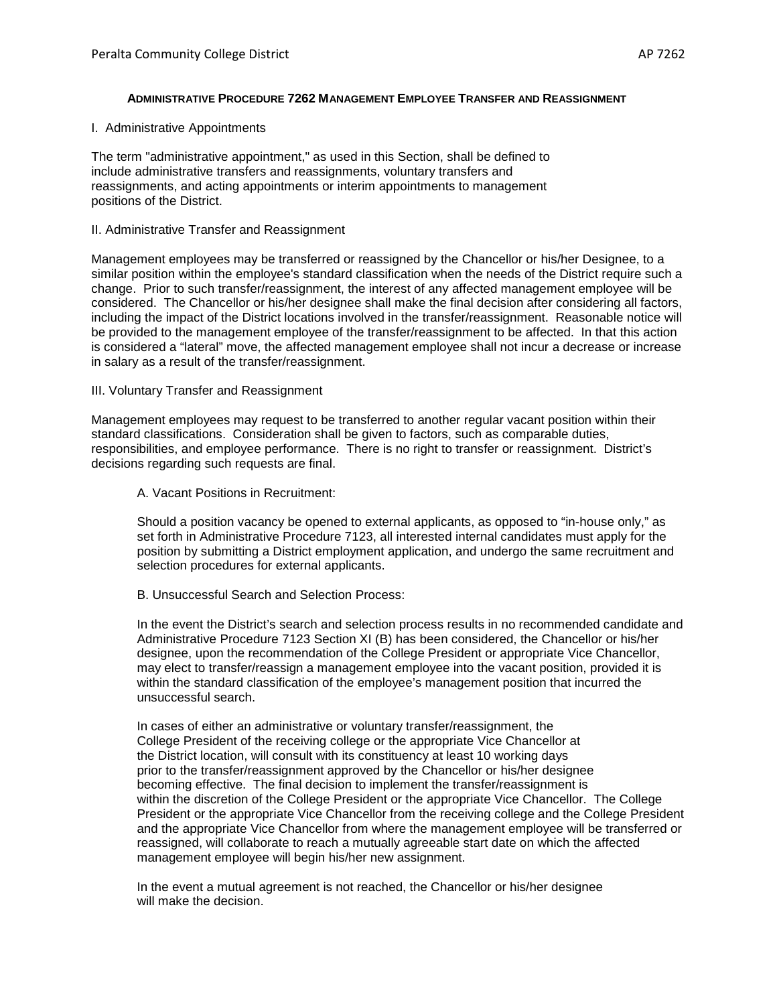## **ADMINISTRATIVE PROCEDURE 7262 MANAGEMENT EMPLOYEE TRANSFER AND REASSIGNMENT**

I. Administrative Appointments

The term "administrative appointment," as used in this Section, shall be defined to include administrative transfers and reassignments, voluntary transfers and reassignments, and acting appointments or interim appointments to management positions of the District.

# II. Administrative Transfer and Reassignment

Management employees may be transferred or reassigned by the Chancellor or his/her Designee, to a similar position within the employee's standard classification when the needs of the District require such a change. Prior to such transfer/reassignment, the interest of any affected management employee will be considered. The Chancellor or his/her designee shall make the final decision after considering all factors, including the impact of the District locations involved in the transfer/reassignment. Reasonable notice will be provided to the management employee of the transfer/reassignment to be affected. In that this action is considered a "lateral" move, the affected management employee shall not incur a decrease or increase in salary as a result of the transfer/reassignment.

## III. Voluntary Transfer and Reassignment

Management employees may request to be transferred to another regular vacant position within their standard classifications. Consideration shall be given to factors, such as comparable duties, responsibilities, and employee performance. There is no right to transfer or reassignment. District's decisions regarding such requests are final.

A. Vacant Positions in Recruitment:

Should a position vacancy be opened to external applicants, as opposed to "in-house only," as set forth in Administrative Procedure 7123, all interested internal candidates must apply for the position by submitting a District employment application, and undergo the same recruitment and selection procedures for external applicants.

B. Unsuccessful Search and Selection Process:

In the event the District's search and selection process results in no recommended candidate and Administrative Procedure 7123 Section XI (B) has been considered, the Chancellor or his/her designee, upon the recommendation of the College President or appropriate Vice Chancellor, may elect to transfer/reassign a management employee into the vacant position, provided it is within the standard classification of the employee's management position that incurred the unsuccessful search.

In cases of either an administrative or voluntary transfer/reassignment, the College President of the receiving college or the appropriate Vice Chancellor at the District location, will consult with its constituency at least 10 working days prior to the transfer/reassignment approved by the Chancellor or his/her designee becoming effective. The final decision to implement the transfer/reassignment is within the discretion of the College President or the appropriate Vice Chancellor. The College President or the appropriate Vice Chancellor from the receiving college and the College President and the appropriate Vice Chancellor from where the management employee will be transferred or reassigned, will collaborate to reach a mutually agreeable start date on which the affected management employee will begin his/her new assignment.

In the event a mutual agreement is not reached, the Chancellor or his/her designee will make the decision.